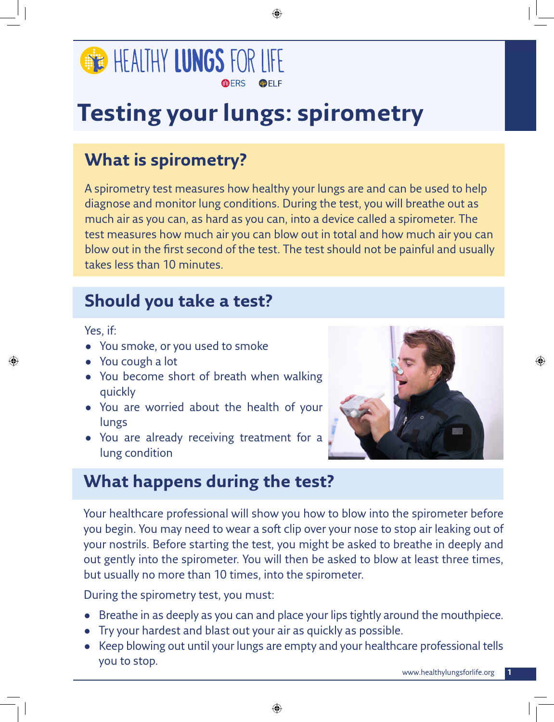

# **Testing your lungs: spirometry**

# **What is spirometry?**

A spirometry test measures how healthy your lungs are and can be used to help diagnose and monitor lung conditions. During the test, you will breathe out as much air as you can, as hard as you can, into a device called a spirometer. The test measures how much air you can blow out in total and how much air you can blow out in the first second of the test. The test should not be painful and usually takes less than 10 minutes.

## **Should you take a test?**

Yes, if:

- You smoke, or you used to smoke
- You cough a lot
- You become short of breath when walking quickly
- You are worried about the health of your lungs
- You are already receiving treatment for a lung condition



## **What happens during the test?**

Your healthcare professional will show you how to blow into the spirometer before you begin. You may need to wear a soft clip over your nose to stop air leaking out of your nostrils. Before starting the test, you might be asked to breathe in deeply and out gently into the spirometer. You will then be asked to blow at least three times, but usually no more than 10 times, into the spirometer.

During the spirometry test, you must:

- Breathe in as deeply as you can and place your lips tightly around the mouthpiece.
- Try your hardest and blast out your air as quickly as possible.
- Keep blowing out until your lungs are empty and your healthcare professional tells you to stop.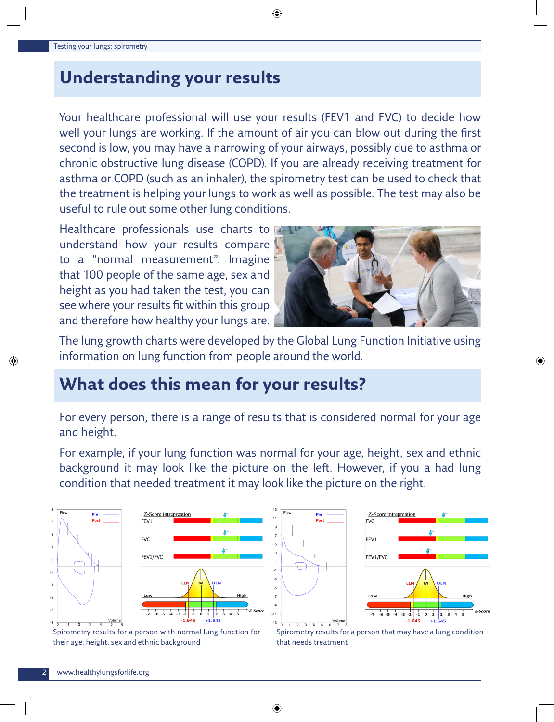## **Understanding your results**

Your healthcare professional will use your results (FEV1 and FVC) to decide how well your lungs are working. If the amount of air you can blow out during the first second is low, you may have a narrowing of your airways, possibly due to asthma or chronic obstructive lung disease (COPD). If you are already receiving treatment for asthma or COPD (such as an inhaler), the spirometry test can be used to check that the treatment is helping your lungs to work as well as possible. The test may also be useful to rule out some other lung conditions.

Healthcare professionals use charts to understand how your results compare to a "normal measurement". Imagine that 100 people of the same age, sex and height as you had taken the test, you can see where your results fit within this group and therefore how healthy your lungs are.



The lung growth charts were developed by the Global Lung Function Initiative using information on lung function from people around the world.

# **What does this mean for your results?**

For every person, there is a range of results that is considered normal for your age and height.

For example, if your lung function was normal for your age, height, sex and ethnic background it may look like the picture on the left. However, if you a had lung condition that needed treatment it may look like the picture on the right.

<sub>-3</sub>

 $-11$ 

 $-13$ 





Spirometry results for a person with normal lung function for their age, height, sex and ethnic background

Spirometry results for a person that may have a lung condition that needs treatment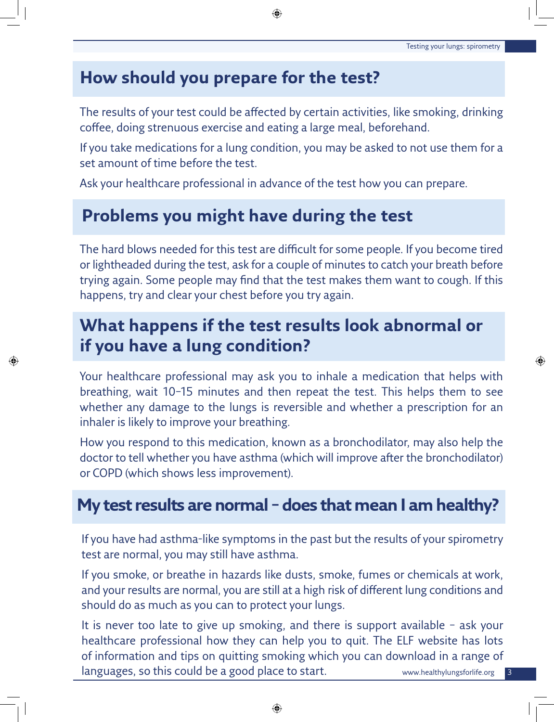3

#### **How should you prepare for the test?**

The results of your test could be affected by certain activities, like smoking, drinking coffee, doing strenuous exercise and eating a large meal, beforehand.

If you take medications for a lung condition, you may be asked to not use them for a set amount of time before the test.

Ask your healthcare professional in advance of the test how you can prepare.

## **Problems you might have during the test**

The hard blows needed for this test are difficult for some people. If you become tired or lightheaded during the test, ask for a couple of minutes to catch your breath before trying again. Some people may find that the test makes them want to cough. If this happens, try and clear your chest before you try again.

## **What happens if the test results look abnormal or if you have a lung condition?**

Your healthcare professional may ask you to inhale a medication that helps with breathing, wait 10–15 minutes and then repeat the test. This helps them to see whether any damage to the lungs is reversible and whether a prescription for an inhaler is likely to improve your breathing.

How you respond to this medication, known as a bronchodilator, may also help the doctor to tell whether you have asthma (which will improve after the bronchodilator) or COPD (which shows less improvement).

## **My test results are normal – does that mean I am healthy?**

If you have had asthma-like symptoms in the past but the results of your spirometry test are normal, you may still have asthma.

If you smoke, or breathe in hazards like dusts, smoke, fumes or chemicals at work, and your results are normal, you are still at a high risk of different lung conditions and should do as much as you can to protect your lungs.

www.healthylungsforlife.org It is never too late to give up smoking, and there is support available – ask your healthcare professional how they can help you to quit. The ELF website has lots of information and tips on quitting smoking which you can download in a range of languages, so this could be a good place to start.